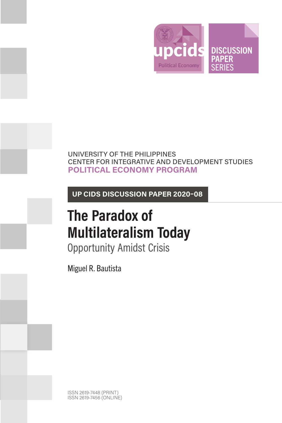

# UNIVERSITY OF THE PHILIPPINES CENTER FOR INTEGRATIVE AND DEVELOPMENT STUDIES **POLITICAL ECONOMY PROGRAM**

**UP CIDS DISCUSSION PAPER 2020–08**

# **The Paradox of Multilateralism Today**

Opportunity Amidst Crisis

Miguel R. Bautista

ISSN 2619-7448 (PRINT) ISSN 2619-7456 (ONLINE)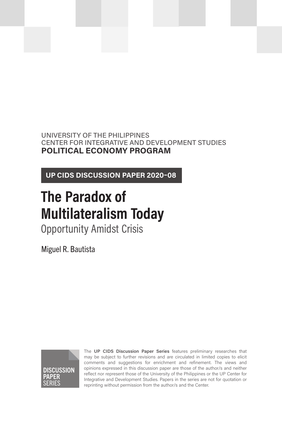UNIVERSITY OF THE PHILIPPINES CENTER FOR INTEGRATIVE AND DEVELOPMENT STUDIES **POLITICAL ECONOMY PROGRAM**

**UP CIDS DISCUSSION PAPER 2020–08**

# **The Paradox of Multilateralism Today**

Opportunity Amidst Crisis

Miguel R. Bautista



The **UP CIDS Discussion Paper Series** features preliminary researches that may be subject to further revisions and are circulated in limited copies to elicit comments and suggestions for enrichment and refinement. The views and opinions expressed in this discussion paper are those of the author/s and neither reflect nor represent those of the University of the Philippines or the UP Center for Integrative and Development Studies. Papers in the series are not for quotation or reprinting without permission from the author/s and the Center.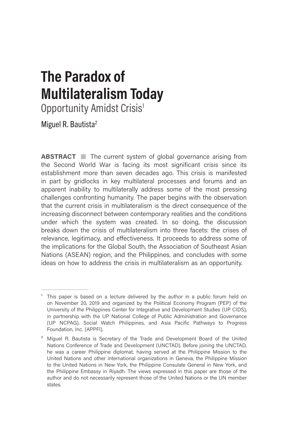# **The Paradox of Multilateralism Today**

Opportunity Amidst Crisis<sup>1</sup>

Miguel R. Bautista<sup>2</sup>

**ABSTRACT** The current system of global governance arising from the Second World War is facing its most significant crisis since its establishment more than seven decades ago. This crisis is manifested in part by gridlocks in key multilateral processes and forums and an apparent inability to multilaterally address some of the most pressing challenges confronting humanity. The paper begins with the observation that the current crisis in multilateralism is the direct consequence of the increasing disconnect between contemporary realities and the conditions under which the system was created. In so doing, the discussion breaks down the crisis of multilateralism into three facets: the crises of relevance, legitimacy, and effectiveness. It proceeds to address some of the implications for the Global South, the Association of Southeast Asian Nations (ASEAN) region, and the Philippines, and concludes with some ideas on how to address the crisis in multilateralism as an opportunity.

<sup>&</sup>lt;sup>1</sup> This paper is based on a lecture delivered by the author in a public forum held on on November 20, 2019 and organized by the Political Economy Program (PEP) of the University of the Philippines Center for Integrative and Development Studies (UP CIDS), in partnership with the UP National College of Public Administration and Governance (UP NCPAG), Social Watch Philippines, and Asia Pacific Pathways to Progress Foundation, Inc. (APPFI).

<sup>&</sup>lt;sup>2</sup> Miguel R. Bautista is Secretary of the Trade and Development Board of the United Nations Conference of Trade and Development (UNCTAD). Before joining the UNCTAD, he was a career Philippine diplomat, having served at the Philippine Mission to the United Nations and other international organizations in Geneva, the Philippine Mission to the United Nations in New York, the Philippine Consulate General in New York, and the Philippine Embassy in Riyadh. The views expressed in this paper are those of the author and do not necessarily represent those of the United Nations or the UN member states.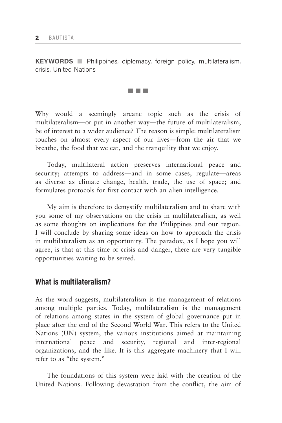**KEYWORDS** Philippines, diplomacy, foreign policy, multilateralism, crisis, United Nations



Why would a seemingly arcane topic such as the crisis of multilateralism—or put in another way—the future of multilateralism, be of interest to a wider audience? The reason is simple: multilateralism touches on almost every aspect of our lives—from the air that we breathe, the food that we eat, and the tranquility that we enjoy.

Today, multilateral action preserves international peace and security; attempts to address—and in some cases, regulate—areas as diverse as climate change, health, trade, the use of space; and formulates protocols for first contact with an alien intelligence.

My aim is therefore to demystify multilateralism and to share with you some of my observations on the crisis in multilateralism, as well as some thoughts on implications for the Philippines and our region. I will conclude by sharing some ideas on how to approach the crisis in multilateralism as an opportunity. The paradox, as I hope you will agree, is that at this time of crisis and danger, there are very tangible opportunities waiting to be seized.

# **What is multilateralism?**

As the word suggests, multilateralism is the management of relations among multiple parties. Today, multilateralism is the management of relations among states in the system of global governance put in place after the end of the Second World War. This refers to the United Nations (UN) system, the various institutions aimed at maintaining international peace and security, regional and inter-regional organizations, and the like. It is this aggregate machinery that I will refer to as "the system."

The foundations of this system were laid with the creation of the United Nations. Following devastation from the conflict, the aim of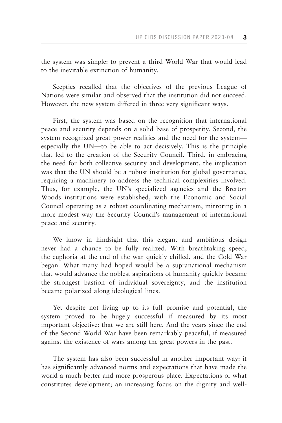the system was simple: to prevent a third World War that would lead to the inevitable extinction of humanity.

Sceptics recalled that the objectives of the previous League of Nations were similar and observed that the institution did not succeed. However, the new system differed in three very significant ways.

First, the system was based on the recognition that international peace and security depends on a solid base of prosperity. Second, the system recognized great power realities and the need for the system especially the UN—to be able to act decisively. This is the principle that led to the creation of the Security Council. Third, in embracing the need for both collective security and development, the implication was that the UN should be a robust institution for global governance, requiring a machinery to address the technical complexities involved. Thus, for example, the UN's specialized agencies and the Bretton Woods institutions were established, with the Economic and Social Council operating as a robust coordinating mechanism, mirroring in a more modest way the Security Council's management of international peace and security.

We know in hindsight that this elegant and ambitious design never had a chance to be fully realized. With breathtaking speed, the euphoria at the end of the war quickly chilled, and the Cold War began. What many had hoped would be a supranational mechanism that would advance the noblest aspirations of humanity quickly became the strongest bastion of individual sovereignty, and the institution became polarized along ideological lines.

Yet despite not living up to its full promise and potential, the system proved to be hugely successful if measured by its most important objective: that we are still here. And the years since the end of the Second World War have been remarkably peaceful, if measured against the existence of wars among the great powers in the past.

The system has also been successful in another important way: it has significantly advanced norms and expectations that have made the world a much better and more prosperous place. Expectations of what constitutes development; an increasing focus on the dignity and well-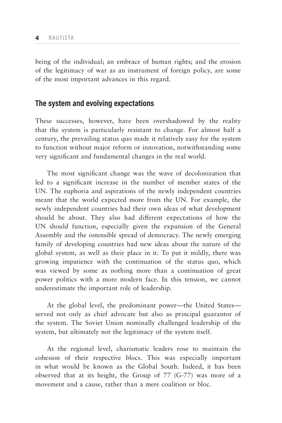being of the individual; an embrace of human rights; and the erosion of the legitimacy of war as an instrument of foreign policy, are some of the most important advances in this regard.

# **The system and evolving expectations**

These successes, however, have been overshadowed by the reality that the system is particularly resistant to change. For almost half a century, the prevailing status quo made it relatively easy for the system to function without major reform or innovation, notwithstanding some very significant and fundamental changes in the real world.

The most significant change was the wave of decolonization that led to a significant increase in the number of member states of the UN. The euphoria and aspirations of the newly independent countries meant that the world expected more from the UN. For example, the newly independent countries had their own ideas of what development should be about. They also had different expectations of how the UN should function, especially given the expansion of the General Assembly and the ostensible spread of democracy. The newly emerging family of developing countries had new ideas about the nature of the global system, as well as their place in it. To put it mildly, there was growing impatience with the continuation of the status quo, which was viewed by some as nothing more than a continuation of great power politics with a more modern face. In this tension, we cannot underestimate the important role of leadership.

At the global level, the predominant power—the United States served not only as chief advocate but also as principal guarantor of the system. The Soviet Union nominally challenged leadership of the system, but ultimately not the legitimacy of the system itself.

At the regional level, charismatic leaders rose to maintain the cohesion of their respective blocs. This was especially important in what would be known as the Global South. Indeed, it has been observed that at its height, the Group of 77 (G-77) was more of a movement and a cause, rather than a mere coalition or bloc.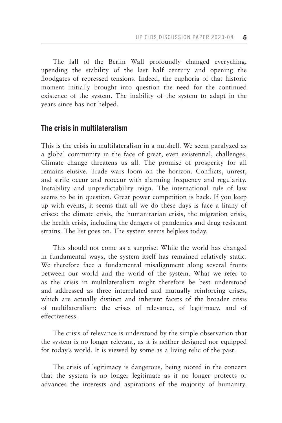The fall of the Berlin Wall profoundly changed everything, upending the stability of the last half century and opening the floodgates of repressed tensions. Indeed, the euphoria of that historic moment initially brought into question the need for the continued existence of the system. The inability of the system to adapt in the years since has not helped.

# **The crisis in multilateralism**

This is the crisis in multilateralism in a nutshell. We seem paralyzed as a global community in the face of great, even existential, challenges. Climate change threatens us all. The promise of prosperity for all remains elusive. Trade wars loom on the horizon. Conflicts, unrest, and strife occur and reoccur with alarming frequency and regularity. Instability and unpredictability reign. The international rule of law seems to be in question. Great power competition is back. If you keep up with events, it seems that all we do these days is face a litany of crises: the climate crisis, the humanitarian crisis, the migration crisis, the health crisis, including the dangers of pandemics and drug-resistant strains. The list goes on. The system seems helpless today.

This should not come as a surprise. While the world has changed in fundamental ways, the system itself has remained relatively static. We therefore face a fundamental misalignment along several fronts between our world and the world of the system. What we refer to as the crisis in multilateralism might therefore be best understood and addressed as three interrelated and mutually reinforcing crises, which are actually distinct and inherent facets of the broader crisis of multilateralism: the crises of relevance, of legitimacy, and of effectiveness.

The crisis of relevance is understood by the simple observation that the system is no longer relevant, as it is neither designed nor equipped for today's world. It is viewed by some as a living relic of the past.

The crisis of legitimacy is dangerous, being rooted in the concern that the system is no longer legitimate as it no longer protects or advances the interests and aspirations of the majority of humanity.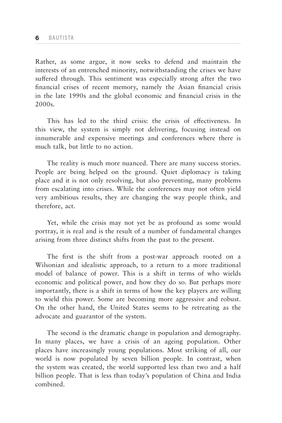Rather, as some argue, it now seeks to defend and maintain the interests of an entrenched minority, notwithstanding the crises we have suffered through. This sentiment was especially strong after the two financial crises of recent memory, namely the Asian financial crisis in the late 1990s and the global economic and financial crisis in the 2000s.

This has led to the third crisis: the crisis of effectiveness. In this view, the system is simply not delivering, focusing instead on innumerable and expensive meetings and conferences where there is much talk, but little to no action.

The reality is much more nuanced. There are many success stories. People are being helped on the ground. Quiet diplomacy is taking place and it is not only resolving, but also preventing, many problems from escalating into crises. While the conferences may not often yield very ambitious results, they are changing the way people think, and therefore, act.

Yet, while the crisis may not yet be as profound as some would portray, it is real and is the result of a number of fundamental changes arising from three distinct shifts from the past to the present.

The first is the shift from a post-war approach rooted on a Wilsonian and idealistic approach, to a return to a more traditional model of balance of power. This is a shift in terms of who wields economic and political power, and how they do so. But perhaps more importantly, there is a shift in terms of how the key players are willing to wield this power. Some are becoming more aggressive and robust. On the other hand, the United States seems to be retreating as the advocate and guarantor of the system.

The second is the dramatic change in population and demography. In many places, we have a crisis of an ageing population. Other places have increasingly young populations. Most striking of all, our world is now populated by seven billion people. In contrast, when the system was created, the world supported less than two and a half billion people. That is less than today's population of China and India combined.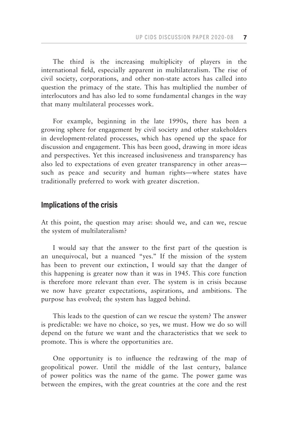The third is the increasing multiplicity of players in the international field, especially apparent in multilateralism. The rise of civil society, corporations, and other non-state actors has called into question the primacy of the state. This has multiplied the number of interlocutors and has also led to some fundamental changes in the way that many multilateral processes work.

For example, beginning in the late 1990s, there has been a growing sphere for engagement by civil society and other stakeholders in development-related processes, which has opened up the space for discussion and engagement. This has been good, drawing in more ideas and perspectives. Yet this increased inclusiveness and transparency has also led to expectations of even greater transparency in other areas such as peace and security and human rights—where states have traditionally preferred to work with greater discretion.

# **Implications of the crisis**

At this point, the question may arise: should we, and can we, rescue the system of multilateralism?

I would say that the answer to the first part of the question is an unequivocal, but a nuanced "yes." If the mission of the system has been to prevent our extinction, I would say that the danger of this happening is greater now than it was in 1945. This core function is therefore more relevant than ever. The system is in crisis because we now have greater expectations, aspirations, and ambitions. The purpose has evolved; the system has lagged behind.

This leads to the question of can we rescue the system? The answer is predictable: we have no choice, so yes, we must. How we do so will depend on the future we want and the characteristics that we seek to promote. This is where the opportunities are.

One opportunity is to influence the redrawing of the map of geopolitical power. Until the middle of the last century, balance of power politics was the name of the game. The power game was between the empires, with the great countries at the core and the rest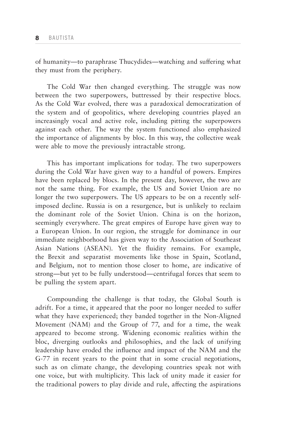of humanity—to paraphrase Thucydides—watching and suffering what they must from the periphery.

The Cold War then changed everything. The struggle was now between the two superpowers, buttressed by their respective blocs. As the Cold War evolved, there was a paradoxical democratization of the system and of geopolitics, where developing countries played an increasingly vocal and active role, including pitting the superpowers against each other. The way the system functioned also emphasized the importance of alignments by bloc. In this way, the collective weak were able to move the previously intractable strong.

This has important implications for today. The two superpowers during the Cold War have given way to a handful of powers. Empires have been replaced by blocs. In the present day, however, the two are not the same thing. For example, the US and Soviet Union are no longer the two superpowers. The US appears to be on a recently selfimposed decline. Russia is on a resurgence, but is unlikely to reclaim the dominant role of the Soviet Union. China is on the horizon, seemingly everywhere. The great empires of Europe have given way to a European Union. In our region, the struggle for dominance in our immediate neighborhood has given way to the Association of Southeast Asian Nations (ASEAN). Yet the fluidity remains. For example, the Brexit and separatist movements like those in Spain, Scotland, and Belgium, not to mention those closer to home, are indicative of strong—but yet to be fully understood—centrifugal forces that seem to be pulling the system apart.

Compounding the challenge is that today, the Global South is adrift. For a time, it appeared that the poor no longer needed to suffer what they have experienced; they banded together in the Non-Aligned Movement (NAM) and the Group of 77, and for a time, the weak appeared to become strong. Widening economic realities within the bloc, diverging outlooks and philosophies, and the lack of unifying leadership have eroded the influence and impact of the NAM and the G-77 in recent years to the point that in some crucial negotiations, such as on climate change, the developing countries speak not with one voice, but with multiplicity. This lack of unity made it easier for the traditional powers to play divide and rule, affecting the aspirations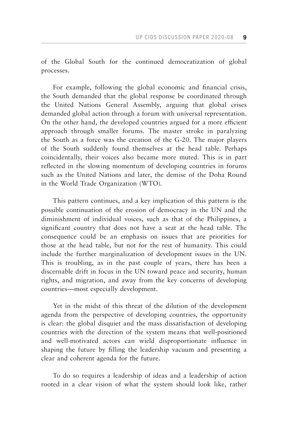of the Global South for the continued democratization of global processes.

For example, following the global economic and financial crisis, the South demanded that the global response be coordinated through the United Nations General Assembly, arguing that global crises demanded global action through a forum with universal representation. On the other hand, the developed countries argued for a more efficient approach through smaller forums. The master stroke in paralyzing the South as a force was the creation of the G-20. The major players of the South suddenly found themselves at the head table. Perhaps coincidentally, their voices also became more muted. This is in part reflected in the slowing momentum of developing countries in forums such as the United Nations and later, the demise of the Doha Round in the World Trade Organization (WTO).

This pattern continues, and a key implication of this pattern is the possible continuation of the erosion of democracy in the UN and the diminishment of individual voices, such as that of the Philippines, a significant country that does not have a seat at the head table. The consequence could be an emphasis on issues that are priorities for those at the head table, but not for the rest of humanity. This could include the further marginalization of development issues in the UN. This is troubling, as in the past couple of years, there has been a discernable drift in focus in the UN toward peace and security, human rights, and migration, and away from the key concerns of developing countries—most especially development.

Yet in the midst of this threat of the dilution of the development agenda from the perspective of developing countries, the opportunity is clear: the global disquiet and the mass dissatisfaction of developing countries with the direction of the system means that well-positioned and well-motivated actors can wield disproportionate influence in shaping the future by filling the leadership vacuum and presenting a clear and coherent agenda for the future.

To do so requires a leadership of ideas and a leadership of action rooted in a clear vision of what the system should look like, rather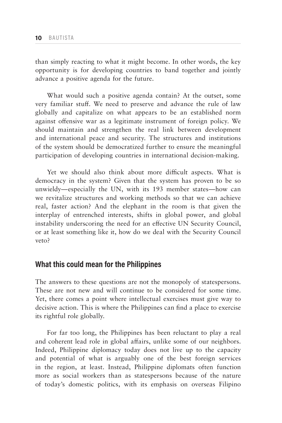than simply reacting to what it might become. In other words, the key opportunity is for developing countries to band together and jointly advance a positive agenda for the future.

What would such a positive agenda contain? At the outset, some very familiar stuff. We need to preserve and advance the rule of law globally and capitalize on what appears to be an established norm against offensive war as a legitimate instrument of foreign policy. We should maintain and strengthen the real link between development and international peace and security. The structures and institutions of the system should be democratized further to ensure the meaningful participation of developing countries in international decision-making.

Yet we should also think about more difficult aspects. What is democracy in the system? Given that the system has proven to be so unwieldy—especially the UN, with its 193 member states—how can we revitalize structures and working methods so that we can achieve real, faster action? And the elephant in the room is that given the interplay of entrenched interests, shifts in global power, and global instability underscoring the need for an effective UN Security Council, or at least something like it, how do we deal with the Security Council veto?

# **What this could mean for the Philippines**

The answers to these questions are not the monopoly of statespersons. These are not new and will continue to be considered for some time. Yet, there comes a point where intellectual exercises must give way to decisive action. This is where the Philippines can find a place to exercise its rightful role globally.

For far too long, the Philippines has been reluctant to play a real and coherent lead role in global affairs, unlike some of our neighbors. Indeed, Philippine diplomacy today does not live up to the capacity and potential of what is arguably one of the best foreign services in the region, at least. Instead, Philippine diplomats often function more as social workers than as statespersons because of the nature of today's domestic politics, with its emphasis on overseas Filipino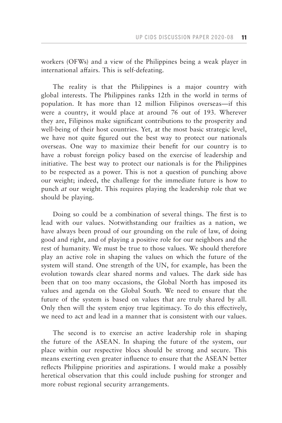workers (OFWs) and a view of the Philippines being a weak player in international affairs. This is self-defeating.

The reality is that the Philippines is a major country with global interests. The Philippines ranks 12th in the world in terms of population. It has more than 12 million Filipinos overseas—if this were a country, it would place at around 76 out of 193. Wherever they are, Filipinos make significant contributions to the prosperity and well-being of their host countries. Yet, at the most basic strategic level, we have not quite figured out the best way to protect our nationals overseas. One way to maximize their benefit for our country is to have a robust foreign policy based on the exercise of leadership and initiative. The best way to protect our nationals is for the Philippines to be respected as a power. This is not a question of punching above our weight; indeed, the challenge for the immediate future is how to punch *at* our weight. This requires playing the leadership role that we should be playing.

Doing so could be a combination of several things. The first is to lead with our values. Notwithstanding our frailties as a nation, we have always been proud of our grounding on the rule of law, of doing good and right, and of playing a positive role for our neighbors and the rest of humanity. We must be true to those values. We should therefore play an active role in shaping the values on which the future of the system will stand. One strength of the UN, for example, has been the evolution towards clear shared norms and values. The dark side has been that on too many occasions, the Global North has imposed its values and agenda on the Global South. We need to ensure that the future of the system is based on values that are truly shared by all. Only then will the system enjoy true legitimacy. To do this effectively, we need to act and lead in a manner that is consistent with our values.

The second is to exercise an active leadership role in shaping the future of the ASEAN. In shaping the future of the system, our place within our respective blocs should be strong and secure. This means exerting even greater influence to ensure that the ASEAN better reflects Philippine priorities and aspirations. I would make a possibly heretical observation that this could include pushing for stronger and more robust regional security arrangements.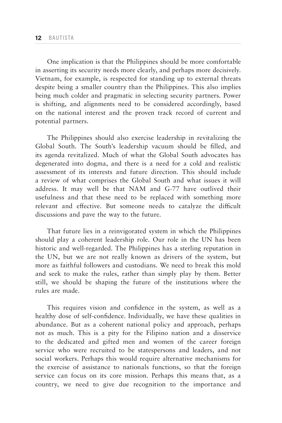One implication is that the Philippines should be more comfortable in asserting its security needs more clearly, and perhaps more decisively. Vietnam, for example, is respected for standing up to external threats despite being a smaller country than the Philippines. This also implies being much colder and pragmatic in selecting security partners. Power is shifting, and alignments need to be considered accordingly, based on the national interest and the proven track record of current and potential partners.

The Philippines should also exercise leadership in revitalizing the Global South. The South's leadership vacuum should be filled, and its agenda revitalized. Much of what the Global South advocates has degenerated into dogma, and there is a need for a cold and realistic assessment of its interests and future direction. This should include a review of what comprises the Global South and what issues it will address. It may well be that NAM and G-77 have outlived their usefulness and that these need to be replaced with something more relevant and effective. But someone needs to catalyze the difficult discussions and pave the way to the future.

That future lies in a reinvigorated system in which the Philippines should play a coherent leadership role. Our role in the UN has been historic and well-regarded. The Philippines has a sterling reputation in the UN, but we are not really known as drivers of the system, but more as faithful followers and custodians. We need to break this mold and seek to make the rules, rather than simply play by them. Better still, we should be shaping the future of the institutions where the rules are made.

This requires vision and confidence in the system, as well as a healthy dose of self-confidence. Individually, we have these qualities in abundance. But as a coherent national policy and approach, perhaps not as much. This is a pity for the Filipino nation and a disservice to the dedicated and gifted men and women of the career foreign service who were recruited to be statespersons and leaders, and not social workers. Perhaps this would require alternative mechanisms for the exercise of assistance to nationals functions, so that the foreign service can focus on its core mission. Perhaps this means that, as a country, we need to give due recognition to the importance and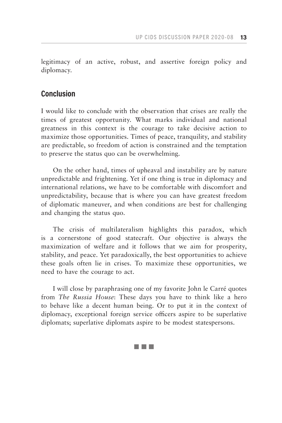legitimacy of an active, robust, and assertive foreign policy and diplomacy.

## **Conclusion**

I would like to conclude with the observation that crises are really the times of greatest opportunity. What marks individual and national greatness in this context is the courage to take decisive action to maximize those opportunities. Times of peace, tranquility, and stability are predictable, so freedom of action is constrained and the temptation to preserve the status quo can be overwhelming.

On the other hand, times of upheaval and instability are by nature unpredictable and frightening. Yet if one thing is true in diplomacy and international relations, we have to be comfortable with discomfort and unpredictability, because that is where you can have greatest freedom of diplomatic maneuver, and when conditions are best for challenging and changing the status quo.

The crisis of multilateralism highlights this paradox, which is a cornerstone of good statecraft. Our objective is always the maximization of welfare and it follows that we aim for prosperity, stability, and peace. Yet paradoxically, the best opportunities to achieve these goals often lie in crises. To maximize these opportunities, we need to have the courage to act.

I will close by paraphrasing one of my favorite John le Carré quotes from *The Russia House*: These days you have to think like a hero to behave like a decent human being. Or to put it in the context of diplomacy, exceptional foreign service officers aspire to be superlative diplomats; superlative diplomats aspire to be modest statespersons.

### an kalendar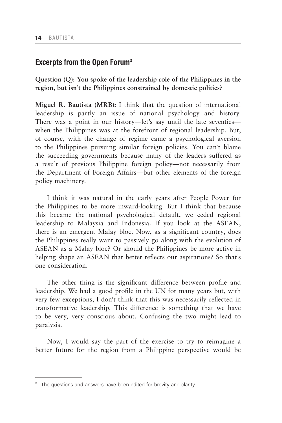# **Excerpts from the Open Forum3**

**Question (Q): You spoke of the leadership role of the Philippines in the region, but isn't the Philippines constrained by domestic politics?**

**Miguel R. Bautista (MRB):** I think that the question of international leadership is partly an issue of national psychology and history. There was a point in our history—let's say until the late seventies when the Philippines was at the forefront of regional leadership. But, of course, with the change of regime came a psychological aversion to the Philippines pursuing similar foreign policies. You can't blame the succeeding governments because many of the leaders suffered as a result of previous Philippine foreign policy—not necessarily from the Department of Foreign Affairs—but other elements of the foreign policy machinery.

I think it was natural in the early years after People Power for the Philippines to be more inward-looking. But I think that because this became the national psychological default, we ceded regional leadership to Malaysia and Indonesia. If you look at the ASEAN, there is an emergent Malay bloc. Now, as a significant country, does the Philippines really want to passively go along with the evolution of ASEAN as a Malay bloc? Or should the Philippines be more active in helping shape an ASEAN that better reflects our aspirations? So that's one consideration.

The other thing is the significant difference between profile and leadership. We had a good profile in the UN for many years but, with very few exceptions, I don't think that this was necessarily reflected in transformative leadership. This difference is something that we have to be very, very conscious about. Confusing the two might lead to paralysis.

Now, I would say the part of the exercise to try to reimagine a better future for the region from a Philippine perspective would be

<sup>&</sup>lt;sup>3</sup> The questions and answers have been edited for brevity and clarity.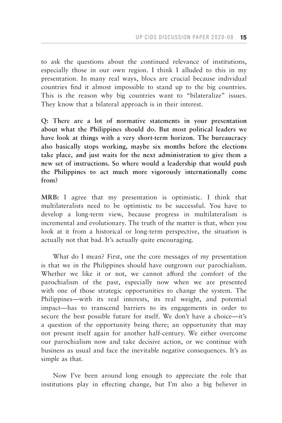to ask the questions about the continued relevance of institutions, especially those in our own region. I think I alluded to this in my presentation. In many real ways, blocs are crucial because individual countries find it almost impossible to stand up to the big countries. This is the reason why big countries want to "bilateralize" issues. They know that a bilateral approach is in their interest.

**Q: There are a lot of normative statements in your presentation about what the Philippines should do. But most political leaders we have look at things with a very short-term horizon. The bureaucracy also basically stops working, maybe six months before the elections take place, and just waits for the next administration to give them a new set of instructions. So where would a leadership that would push the Philippines to act much more vigorously internationally come from?**

**MRB:** I agree that my presentation is optimistic. I think that multilateralists need to be optimistic to be successful. You have to develop a long-term view, because progress in multilateralism is incremental and evolutionary. The truth of the matter is that, when you look at it from a historical or long-term perspective, the situation is actually not that bad. It's actually quite encouraging.

What do I mean? First, one the core messages of my presentation is that we in the Philippines should have outgrown our parochialism. Whether we like it or not, we cannot afford the comfort of the parochialism of the past, especially now when we are presented with one of those strategic opportunities to change the system. The Philippines—with its real interests, its real weight, and potential impact—has to transcend barriers to its engagements in order to secure the best possible future for itself. We don't have a choice—it's a question of the opportunity being there; an opportunity that may not present itself again for another half-century. We either overcome our parochialism now and take decisive action, or we continue with business as usual and face the inevitable negative consequences. It's as simple as that.

Now I've been around long enough to appreciate the role that institutions play in effecting change, but I'm also a big believer in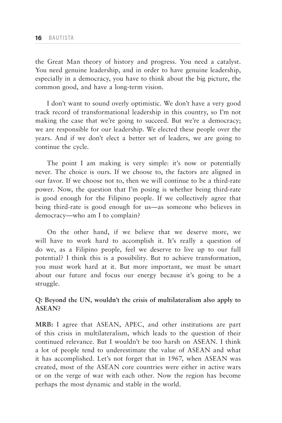the Great Man theory of history and progress. You need a catalyst. You need genuine leadership, and in order to have genuine leadership, especially in a democracy, you have to think about the big picture, the common good, and have a long-term vision.

I don't want to sound overly optimistic. We don't have a very good track record of transformational leadership in this country, so I'm not making the case that we're going to succeed. But we're a democracy; we are responsible for our leadership. We elected these people over the years. And if we don't elect a better set of leaders, we are going to continue the cycle.

The point I am making is very simple: it's now or potentially never. The choice is ours. If we choose to, the factors are aligned in our favor. If we choose not to, then we will continue to be a third-rate power. Now, the question that I'm posing is whether being third-rate is good enough for the Filipino people. If we collectively agree that being third-rate is good enough for us—as someone who believes in democracy—who am I to complain?

On the other hand, if we believe that we deserve more, we will have to work hard to accomplish it. It's really a question of do we, as a Filipino people, feel we deserve to live up to our full potential? I think this is a possibility. But to achieve transformation, you must work hard at it. But more important, we must be smart about our future and focus our energy because it's going to be a struggle.

## **Q: Beyond the UN, wouldn't the crisis of multilateralism also apply to ASEAN?**

**MRB:** I agree that ASEAN, APEC, and other institutions are part of this crisis in multilateralism, which leads to the question of their continued relevance. But I wouldn't be too harsh on ASEAN. I think a lot of people tend to underestimate the value of ASEAN and what it has accomplished. Let's not forget that in 1967, when ASEAN was created, most of the ASEAN core countries were either in active wars or on the verge of war with each other. Now the region has become perhaps the most dynamic and stable in the world.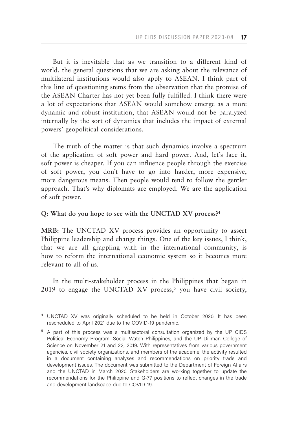But it is inevitable that as we transition to a different kind of world, the general questions that we are asking about the relevance of multilateral institutions would also apply to ASEAN. I think part of this line of questioning stems from the observation that the promise of the ASEAN Charter has not yet been fully fulfilled. I think there were a lot of expectations that ASEAN would somehow emerge as a more dynamic and robust institution, that ASEAN would not be paralyzed internally by the sort of dynamics that includes the impact of external powers' geopolitical considerations.

The truth of the matter is that such dynamics involve a spectrum of the application of soft power and hard power. And, let's face it, soft power is cheaper. If you can influence people through the exercise of soft power, you don't have to go into harder, more expensive, more dangerous means. Then people would tend to follow the gentler approach. That's why diplomats are employed. We are the application of soft power.

## **Q: What do you hope to see with the UNCTAD XV process?4**

**MRB:** The UNCTAD XV process provides an opportunity to assert Philippine leadership and change things. One of the key issues, I think, that we are all grappling with in the international community, is how to reform the international economic system so it becomes more relevant to all of us.

In the multi-stakeholder process in the Philippines that began in 2019 to engage the UNCTAD XV process,<sup>5</sup> you have civil society,

<sup>&</sup>lt;sup>4</sup> UNCTAD XV was originally scheduled to be held in October 2020. It has been rescheduled to April 2021 due to the COVID-19 pandemic.

<sup>&</sup>lt;sup>5</sup> A part of this process was a multisectoral consultation organized by the UP CIDS Political Economy Program, Social Watch Philippines, and the UP Diliman College of Science on November 21 and 22, 2019. With representatives from various government agencies, civil society organizations, and members of the academe, the activity resulted in a document containing analyses and recommendations on priority trade and development issues. The document was submitted to the Department of Foreign Affairs and the UNCTAD in March 2020. Stakeholders are working together to update the recommendations for the Philippine and G-77 positions to reflect changes in the trade and development landscape due to COVID-19.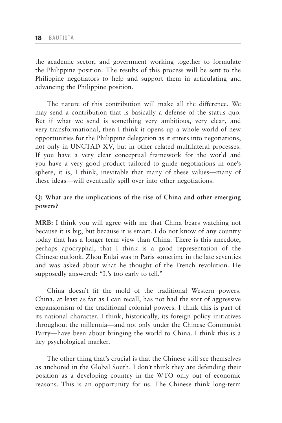the academic sector, and government working together to formulate the Philippine position. The results of this process will be sent to the Philippine negotiators to help and support them in articulating and advancing the Philippine position.

The nature of this contribution will make all the difference. We may send a contribution that is basically a defense of the status quo. But if what we send is something very ambitious, very clear, and very transformational, then I think it opens up a whole world of new opportunities for the Philippine delegation as it enters into negotiations, not only in UNCTAD XV, but in other related multilateral processes. If you have a very clear conceptual framework for the world and you have a very good product tailored to guide negotiations in one's sphere, it is, I think, inevitable that many of these values—many of these ideas—will eventually spill over into other negotiations.

## **Q: What are the implications of the rise of China and other emerging powers?**

**MRB:** I think you will agree with me that China bears watching not because it is big, but because it is smart. I do not know of any country today that has a longer-term view than China. There is this anecdote, perhaps apocryphal, that I think is a good representation of the Chinese outlook. Zhou Enlai was in Paris sometime in the late seventies and was asked about what he thought of the French revolution. He supposedly answered: "It's too early to tell."

China doesn't fit the mold of the traditional Western powers. China, at least as far as I can recall, has not had the sort of aggressive expansionism of the traditional colonial powers. I think this is part of its national character. I think, historically, its foreign policy initiatives throughout the millennia—and not only under the Chinese Communist Party—have been about bringing the world to China. I think this is a key psychological marker.

The other thing that's crucial is that the Chinese still see themselves as anchored in the Global South. I don't think they are defending their position as a developing country in the WTO only out of economic reasons. This is an opportunity for us. The Chinese think long-term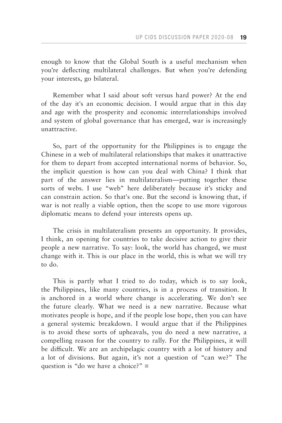enough to know that the Global South is a useful mechanism when you're deflecting multilateral challenges. But when you're defending your interests, go bilateral.

Remember what I said about soft versus hard power? At the end of the day it's an economic decision. I would argue that in this day and age with the prosperity and economic interrelationships involved and system of global governance that has emerged, war is increasingly unattractive.

So, part of the opportunity for the Philippines is to engage the Chinese in a web of multilateral relationships that makes it unattractive for them to depart from accepted international norms of behavior. So, the implicit question is how can you deal with China? I think that part of the answer lies in multilateralism—putting together these sorts of webs. I use "web" here deliberately because it's sticky and can constrain action. So that's one. But the second is knowing that, if war is not really a viable option, then the scope to use more vigorous diplomatic means to defend your interests opens up.

The crisis in multilateralism presents an opportunity. It provides, I think, an opening for countries to take decisive action to give their people a new narrative. To say: look, the world has changed, we must change with it. This is our place in the world, this is what we will try to do.

This is partly what I tried to do today, which is to say look, the Philippines, like many countries, is in a process of transition. It is anchored in a world where change is accelerating. We don't see the future clearly. What we need is a new narrative. Because what motivates people is hope, and if the people lose hope, then you can have a general systemic breakdown. I would argue that if the Philippines is to avoid these sorts of upheavals, you do need a new narrative, a compelling reason for the country to rally. For the Philippines, it will be difficult. We are an archipelagic country with a lot of history and a lot of divisions. But again, it's not a question of "can we?" The question is "do we have a choice?"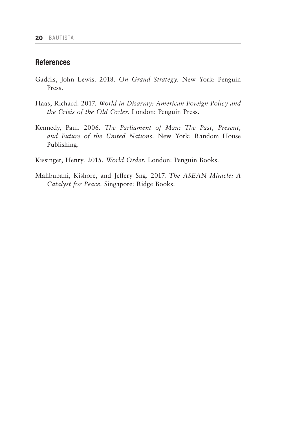# **References**

- Gaddis, John Lewis. 2018. *On Grand Strategy.* New York: Penguin Press.
- Haas, Richard. 2017. *World in Disarray: American Foreign Policy and the Crisis of the Old Order.* London: Penguin Press.
- Kennedy, Paul. 2006. *The Parliament of Man: The Past, Present, and Future of the United Nations.* New York: Random House Publishing.
- Kissinger, Henry. 2015. *World Order.* London: Penguin Books.
- Mahbubani, Kishore, and Jeffery Sng. 2017. *The ASEAN Miracle: A Catalyst for Peace*. Singapore: Ridge Books.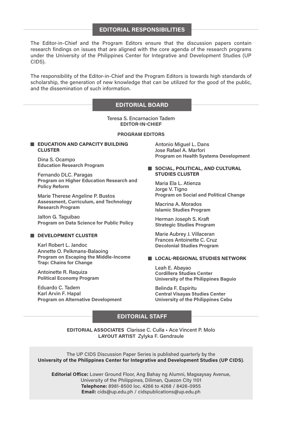## **EDITORIAL RESPONSIBILITIES**

The Editor-in-Chief and the Program Editors ensure that the discussion papers contain research findings on issues that are aligned with the core agenda of the research programs under the University of the Philippines Center for Integrative and Development Studies (UP CIDS).

The responsibility of the Editor-in-Chief and the Program Editors is towards high standards of scholarship, the generation of new knowledge that can be utilized for the good of the public, and the dissemination of such information.

## **EDITORIAL BOARD**

Teresa S. Encarnacion Tadem **EDITOR-IN-CHIEF**

#### **PROGRAM EDITORS**

#### **EDUCATION AND CAPACITY BUILDING CLUSTER**

Dina S. Ocampo **Education Research Program**

Fernando DLC. Paragas **Program on Higher Education Research and Policy Reform**

Marie Therese Angeline P. Bustos **Assessment, Curriculum, and Technology Research Program**

Jalton G. Taguibao **Program on Data Science for Public Policy**

### **DEVELOPMENT CLUSTER**

Karl Robert L. Jandoc Annette O. Pelkmans-Balaoing **Program on Escaping the Middle-Income Trap: Chains for Change**

Antoinette R. Raquiza **Political Economy Program**

Eduardo C. Tadem Karl Arvin F. Hapal **Program on Alternative Development** Antonio Miguel L. Dans Jose Rafael A. Marfori **Program on Health Systems Development**

### **SOCIAL, POLITICAL, AND CULTURAL STUDIES CLUSTER**

Maria Ela L. Atienza Jorge V. Tigno **Program on Social and Political Change**

Macrina A. Morados **Islamic Studies Program**

Herman Joseph S. Kraft **Strategic Studies Program**

Marie Aubrey J. Villaceran Frances Antoinette C. Cruz **Decolonial Studies Program**

#### **LOCAL-REGIONAL STUDIES NETWORK**

Leah E. Abayao **Cordillera Studies Center University of the Philippines Baguio**

Belinda F. Espiritu **Central Visayas Studies Center University of the Philippines Cebu**

## **EDITORIAL STAFF**

**EDITORIAL ASSOCIATES** Clarisse C. Culla • Ace Vincent P. Molo **LAYOUT ARTIST** Zylyka F. Gendraule

The UP CIDS Discussion Paper Series is published quarterly by the **University of the Philippines Center for Integrative and Development Studies (UP CIDS)**.

**Editorial Office:** Lower Ground Floor, Ang Bahay ng Alumni, Magsaysay Avenue, University of the Philippines, Diliman, Quezon City 1101 **Telephone:** 8981-8500 loc. 4266 to 4268 / 8426-0955 **Email:** cids@up.edu.ph / cidspublications@up.edu.ph